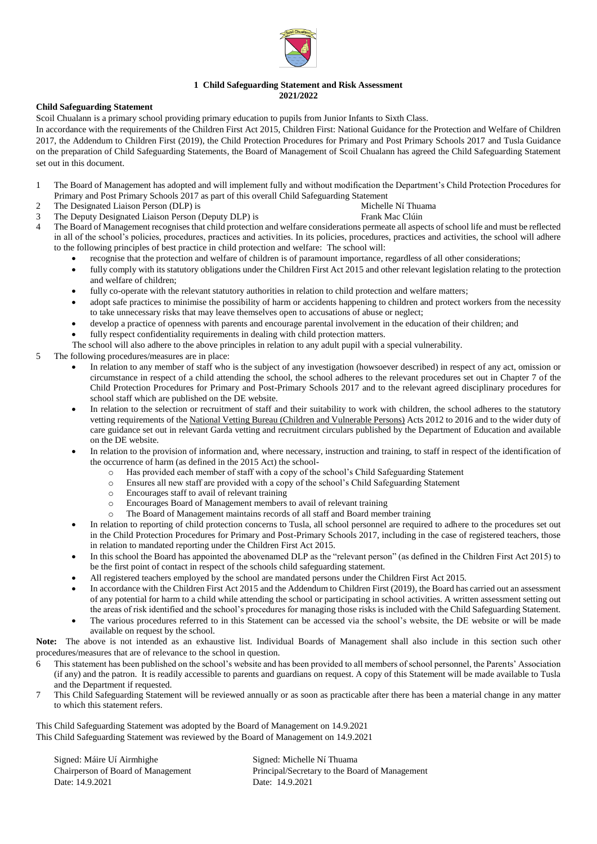

## **1 Child Safeguarding Statement and Risk Assessment 2021/2022**

## **Child Safeguarding Statement**

Scoil Chualann is a primary school providing primary education to pupils from Junior Infants to Sixth Class.

In accordance with the requirements of the [Children First Act 2015,](http://www.irishstatutebook.ie/eli/2015/act/36/enacted/en/pdf) [Children First: National Guidance for the Protection and Welfare of Children](https://assets.gov.ie/25844/b90aafa55804462f84d05f87f0ca2bf6.pdf)  [2017,](https://assets.gov.ie/25844/b90aafa55804462f84d05f87f0ca2bf6.pdf) [the Addendum to Children First \(2019\),](https://assets.gov.ie/25819/c9744b64dfd6447985eeffa5c0d71bbb.pdf) the [Child Protection Procedures for Primary and Post Primary Schools 2017](https://www.gov.ie/pdf/?file=https://assets.gov.ie/45063/2d4b5b3d781e4ec1ab4f3e5d198717d9.pdf#page=1) and [Tusla Guidance](https://www.tusla.ie/uploads/content/4214-TUSLA_Guidance_on_Developing_a_CSS_LR.PDF)  [on the preparation of Child Safeguarding Statements,](https://www.tusla.ie/uploads/content/4214-TUSLA_Guidance_on_Developing_a_CSS_LR.PDF) the Board of Management of Scoil Chualann has agreed the Child Safeguarding Statement set out in this document.

- 1 The Board of Management has adopted and will implement fully and without modification the Department's Child Protection Procedures for Primary and Post Primary Schools 2017 as part of this overall Child Safeguarding Statement
- 2 The Designated Liaison Person (DLP) is Michelle Ní Thuama
	-
- 3 The Deputy Designated Liaison Person (Deputy DLP) is Frank Mac Clúin
- 
- 4 The Board of Management recognises that child protection and welfare considerations permeate all aspects of school life and must be reflected in all of the school's policies, procedures, practices and activities. In its policies, procedures, practices and activities, the school will adhere to the following principles of best practice in child protection and welfare: The school will:
	- recognise that the protection and welfare of children is of paramount importance, regardless of all other considerations;
	- fully comply with its statutory obligations under the Children First Act 2015 and other relevant legislation relating to the protection and welfare of children;
	- fully co-operate with the relevant statutory authorities in relation to child protection and welfare matters;
	- adopt safe practices to minimise the possibility of harm or accidents happening to children and protect workers from the necessity to take unnecessary risks that may leave themselves open to accusations of abuse or neglect;
	- develop a practice of openness with parents and encourage parental involvement in the education of their children; and
	- fully respect confidentiality requirements in dealing with child protection matters.
	- The school will also adhere to the above principles in relation to any adult pupil with a special vulnerability.
- 5 The following procedures/measures are in place:
	- In relation to any member of staff who is the subject of any investigation (howsoever described) in respect of any act, omission or circumstance in respect of a child attending the school, the school adheres to the relevant procedures set out in Chapter 7 of the Child Protection Procedures for Primary and Post-Primary Schools 2017 and to the relevant agreed disciplinary procedures for school staff which are published on the DE website.
	- In relation to the selection or recruitment of staff and their suitability to work with children, the school adheres to the statutory vetting requirements of the [National Vetting Bureau \(Children and Vulnerable Persons\)](https://revisedacts.lawreform.ie/eli/2012/act/47/revised/en/pdf) Acts 2012 to 2016 and to the wider duty of care guidance set out in relevant Garda vetting and recruitment circulars published by the Department of Education and available on the DE website.
	- In relation to the provision of information and, where necessary, instruction and training, to staff in respect of the identification of the occurrence of harm (as defined in the 2015 Act) the school
		- o Has provided each member of staff with a copy of the school's Child Safeguarding Statement
		- o Ensures all new staff are provided with a copy of the school's Child Safeguarding Statement
		- o Encourages staff to avail of relevant training
		- o Encourages Board of Management members to avail of relevant training
		- The Board of Management maintains records of all staff and Board member training
	- In relation to reporting of child protection concerns to Tusla, all school personnel are required to adhere to the procedures set out in the Child Protection Procedures for Primary and Post-Primary Schools 2017, including in the case of registered teachers, those in relation to mandated reporting under the Children First Act 2015.
	- In this school the Board has appointed the abovenamed DLP as the "relevant person" (as defined in the Children First Act 2015) to be the first point of contact in respect of the schools child safeguarding statement.
	- All registered teachers employed by the school are mandated persons under the Children First Act 2015.
	- In accordance with the Children First Act 2015 and the Addendum to Children First (2019), the Board has carried out an assessment of any potential for harm to a child while attending the school or participating in school activities. A written assessment setting out the areas of risk identified and the school's procedures for managing those risks is included with the Child Safeguarding Statement.
	- The various procedures referred to in this Statement can be accessed via the school's website, the DE website or will be made available on request by the school.
- **Note:** The above is not intended as an exhaustive list. Individual Boards of Management shall also include in this section such other procedures/measures that are of relevance to the school in question.
- 6 This statement has been published on the school's website and has been provided to all members of school personnel, the Parents' Association (if any) and the patron. It is readily accessible to parents and guardians on request. A copy of this Statement will be made available to Tusla and the Department if requested.
- 7 This Child Safeguarding Statement will be reviewed annually or as soon as practicable after there has been a material change in any matter to which this statement refers.

This Child Safeguarding Statement was adopted by the Board of Management on 14.9.2021 This Child Safeguarding Statement was reviewed by the Board of Management on 14.9.2021

Signed: Máire Uí Airmhighe Signed: Michelle Ní Thuama Date: 14.9.2021 Date: 14.9.2021

Chairperson of Board of Management Principal/Secretary to the Board of Management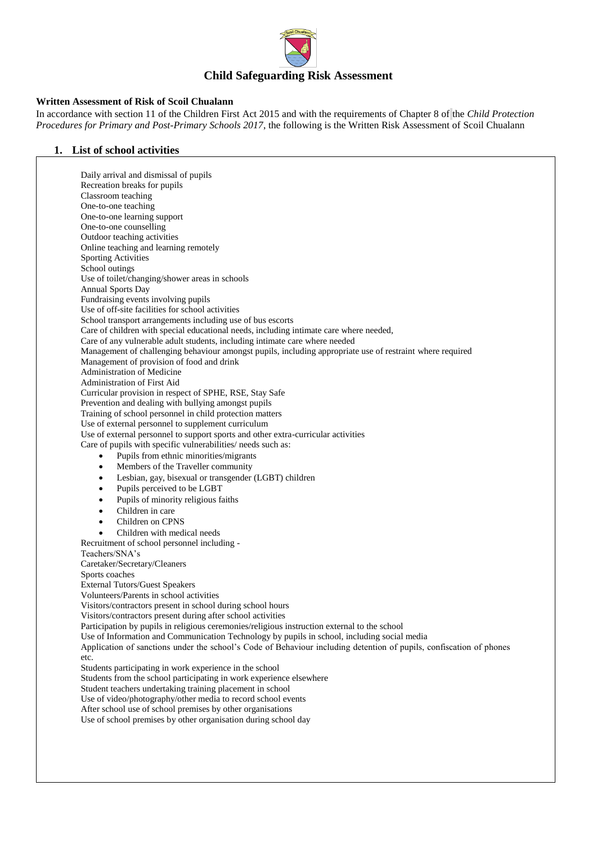

## **Written Assessment of Risk of Scoil Chualann**

In accordance with section 11 of the Children First Act 2015 and with the requirements of Chapter 8 of the *Child Protection Procedures for Primary and Post-Primary Schools 2017*, the following is the Written Risk Assessment of Scoil Chualann

#### **1. List of school activities**

Daily arrival and dismissal of pupils Recreation breaks for pupils Classroom teaching One-to-one teaching One-to-one learning support One-to-one counselling Outdoor teaching activities Online teaching and learning remotely Sporting Activities School outings Use of toilet/changing/shower areas in schools Annual Sports Day Fundraising events involving pupils Use of off-site facilities for school activities School transport arrangements including use of bus escorts Care of children with special educational needs, including intimate care where needed, Care of any vulnerable adult students, including intimate care where needed Management of challenging behaviour amongst pupils, including appropriate use of restraint where required Management of provision of food and drink Administration of Medicine Administration of First Aid Curricular provision in respect of SPHE, RSE, Stay Safe Prevention and dealing with bullying amongst pupils Training of school personnel in child protection matters Use of external personnel to supplement curriculum Use of external personnel to support sports and other extra-curricular activities Care of pupils with specific vulnerabilities/ needs such as: Pupils from ethnic minorities/migrants Members of the Traveller community Lesbian, gay, bisexual or transgender (LGBT) children Pupils perceived to be LGBT Pupils of minority religious faiths Children in care Children on CPNS Children with medical needs Recruitment of school personnel including - Teachers/SNA's Caretaker/Secretary/Cleaners Sports coaches External Tutors/Guest Speakers Volunteers/Parents in school activities Visitors/contractors present in school during school hours Visitors/contractors present during after school activities Participation by pupils in religious ceremonies/religious instruction external to the school Use of Information and Communication Technology by pupils in school, including social media Application of sanctions under the school's Code of Behaviour including detention of pupils, confiscation of phones etc. Students participating in work experience in the school Students from the school participating in work experience elsewhere Student teachers undertaking training placement in school Use of video/photography/other media to record school events After school use of school premises by other organisations Use of school premises by other organisation during school day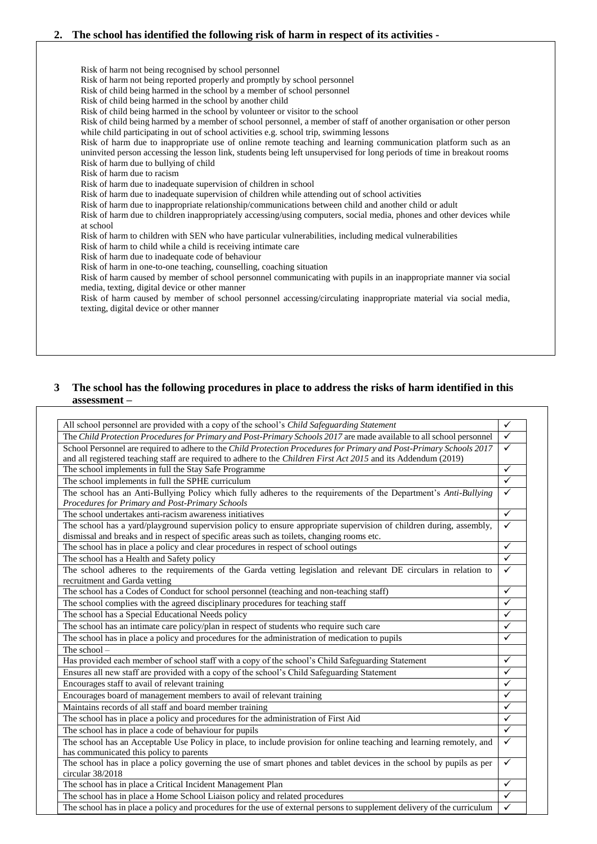## **2. The school has identified the following risk of harm in respect of its activities -**

Risk of harm not being recognised by school personnel Risk of harm not being reported properly and promptly by school personnel Risk of child being harmed in the school by a member of school personnel Risk of child being harmed in the school by another child Risk of child being harmed in the school by volunteer or visitor to the school Risk of child being harmed by a member of school personnel, a member of staff of another organisation or other person while child participating in out of school activities e.g. school trip, swimming lessons Risk of harm due to inappropriate use of online remote teaching and learning communication platform such as an uninvited person accessing the lesson link, students being left unsupervised for long periods of time in breakout rooms Risk of harm due to bullying of child Risk of harm due to racism Risk of harm due to inadequate supervision of children in school Risk of harm due to inadequate supervision of children while attending out of school activities Risk of harm due to inappropriate relationship/communications between child and another child or adult Risk of harm due to children inappropriately accessing/using computers, social media, phones and other devices while at school Risk of harm to children with SEN who have particular vulnerabilities, including medical vulnerabilities Risk of harm to child while a child is receiving intimate care Risk of harm due to inadequate code of behaviour Risk of harm in one-to-one teaching, counselling, coaching situation Risk of harm caused by member of school personnel communicating with pupils in an inappropriate manner via social media, texting, digital device or other manner Risk of harm caused by member of school personnel accessing/circulating inappropriate material via social media, texting, digital device or other manner

# **3 The school has the following procedures in place to address the risks of harm identified in this assessment –**

| All school personnel are provided with a copy of the school's Child Safeguarding Statement                                                                                                                        | $\checkmark$ |
|-------------------------------------------------------------------------------------------------------------------------------------------------------------------------------------------------------------------|--------------|
| The Child Protection Procedures for Primary and Post-Primary Schools 2017 are made available to all school personnel                                                                                              | $\checkmark$ |
| School Personnel are required to adhere to the Child Protection Procedures for Primary and Post-Primary Schools 2017                                                                                              | $\checkmark$ |
| and all registered teaching staff are required to adhere to the Children First Act 2015 and its Addendum (2019)                                                                                                   |              |
| The school implements in full the Stay Safe Programme                                                                                                                                                             | $\checkmark$ |
| The school implements in full the SPHE curriculum                                                                                                                                                                 | $\checkmark$ |
| The school has an Anti-Bullying Policy which fully adheres to the requirements of the Department's Anti-Bullying<br>Procedures for Primary and Post-Primary Schools                                               | $\checkmark$ |
| The school undertakes anti-racism awareness initiatives                                                                                                                                                           | $\checkmark$ |
| The school has a yard/playground supervision policy to ensure appropriate supervision of children during, assembly,<br>dismissal and breaks and in respect of specific areas such as toilets, changing rooms etc. | ✓            |
| The school has in place a policy and clear procedures in respect of school outings                                                                                                                                | $\checkmark$ |
| The school has a Health and Safety policy                                                                                                                                                                         | $\checkmark$ |
| The school adheres to the requirements of the Garda vetting legislation and relevant DE circulars in relation to<br>recruitment and Garda vetting                                                                 | $\checkmark$ |
| The school has a Codes of Conduct for school personnel (teaching and non-teaching staff)                                                                                                                          | $\checkmark$ |
| The school complies with the agreed disciplinary procedures for teaching staff                                                                                                                                    | ✓            |
| The school has a Special Educational Needs policy                                                                                                                                                                 | ✓            |
| The school has an intimate care policy/plan in respect of students who require such care                                                                                                                          | ✓            |
| The school has in place a policy and procedures for the administration of medication to pupils                                                                                                                    | $\checkmark$ |
| The school $-$                                                                                                                                                                                                    |              |
| Has provided each member of school staff with a copy of the school's Child Safeguarding Statement                                                                                                                 | ✓            |
| Ensures all new staff are provided with a copy of the school's Child Safeguarding Statement                                                                                                                       | $\checkmark$ |
| Encourages staff to avail of relevant training                                                                                                                                                                    | ✓            |
| Encourages board of management members to avail of relevant training                                                                                                                                              | ✓            |
| Maintains records of all staff and board member training                                                                                                                                                          | $\checkmark$ |
| The school has in place a policy and procedures for the administration of First Aid                                                                                                                               | $\checkmark$ |
| The school has in place a code of behaviour for pupils                                                                                                                                                            | $\checkmark$ |
| The school has an Acceptable Use Policy in place, to include provision for online teaching and learning remotely, and                                                                                             | $\checkmark$ |
| has communicated this policy to parents                                                                                                                                                                           |              |
| The school has in place a policy governing the use of smart phones and tablet devices in the school by pupils as per<br>circular 38/2018                                                                          | $\checkmark$ |
| The school has in place a Critical Incident Management Plan                                                                                                                                                       | ✓            |
| The school has in place a Home School Liaison policy and related procedures                                                                                                                                       | $\checkmark$ |
| The school has in place a policy and procedures for the use of external persons to supplement delivery of the curriculum                                                                                          | $\checkmark$ |